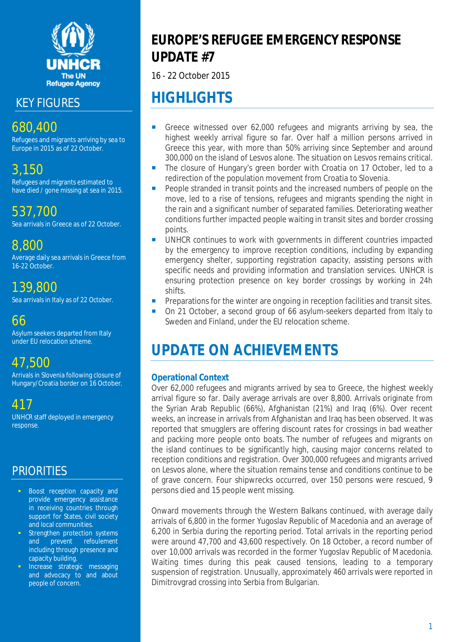

KEY FIGURES

## 680,400

Refugees and migrants arriving by sea to Europe in 2015 as of 22 October.

## 3,150

Refugees and migrants estimated to have died / gone missing at sea in 2015.

537,700 Sea arrivals in Greece as of 22 October.

## 8,800

Average daily sea arrivals in Greece from 16-22 October.

## 139,800

Sea arrivals in Italy as of 22 October.

## 66

Asylum seekers departed from Italy under EU relocation scheme.

## 47,500

Arrivals in Slovenia following closure of Hungary/Croatia border on 16 October.

417

UNHCR staff deployed in emergency response.

## **PRIORITIES**

- **Boost reception capacity and** provide emergency assistance in receiving countries through support for States, civil society and local communities.
- **Strengthen protection systems** and prevent *refoulement* including through presence and capacity building.
- **Increase strategic messaging** and advocacy to and about people of concern.

## **EUROPE'S REFUGEE EMERGENCY RESPONSE UPDATE #7**

16 - 22 October 2015

# **HIGHLIGHTS**

- Greece witnessed over 62,000 refugees and migrants arriving by sea, the highest weekly arrival figure so far. Over half a million persons arrived in Greece this year, with more than 50% arriving since September and around 300,000 on the island of Lesvos alone. The situation on Lesvos remains critical.
- The closure of Hungary's green border with Croatia on 17 October, led to a redirection of the population movement from Croatia to Slovenia.
- People stranded in transit points and the increased numbers of people on the move, led to a rise of tensions, refugees and migrants spending the night in the rain and a significant number of separated families. Deteriorating weather conditions further impacted people waiting in transit sites and border crossing points.
- UNHCR continues to work with governments in different countries impacted by the emergency to improve reception conditions, including by expanding emergency shelter, supporting registration capacity, assisting persons with specific needs and providing information and translation services. UNHCR is ensuring protection presence on key border crossings by working in 24h shifts.
- **Preparations for the winter are ongoing in reception facilities and transit sites.**
- On 21 October, a second group of 66 asylum-seekers departed from Italy to Sweden and Finland, under the EU relocation scheme.

# **UPDATE ON ACHIEVEMENTS**

### **Operational Context**

Over 62,000 refugees and migrants arrived by sea to Greece, the highest weekly arrival figure so far. Daily average arrivals are over 8,800. Arrivals originate from the Syrian Arab Republic (66%), Afghanistan (21%) and Iraq (6%). Over recent weeks, an increase in arrivals from Afghanistan and Iraq has been observed. It was reported that smugglers are offering discount rates for crossings in bad weather and packing more people onto boats. The number of refugees and migrants on the island continues to be significantly high, causing major concerns related to reception conditions and registration. Over 300,000 refugees and migrants arrived on Lesvos alone, where the situation remains tense and conditions continue to be of grave concern. Four shipwrecks occurred, over 150 persons were rescued, 9 persons died and 15 people went missing.

Onward movements through the Western Balkans continued, with average daily arrivals of 6,800 in the former Yugoslav Republic of Macedonia and an average of 6,200 in Serbia during the reporting period. Total arrivals in the reporting period were around 47,700 and 43,600 respectively. On 18 October, a record number of over 10,000 arrivals was recorded in the former Yugoslav Republic of Macedonia. Waiting times during this peak caused tensions, leading to a temporary suspension of registration. Unusually, approximately 460 arrivals were reported in Dimitrovgrad crossing into Serbia from Bulgarian.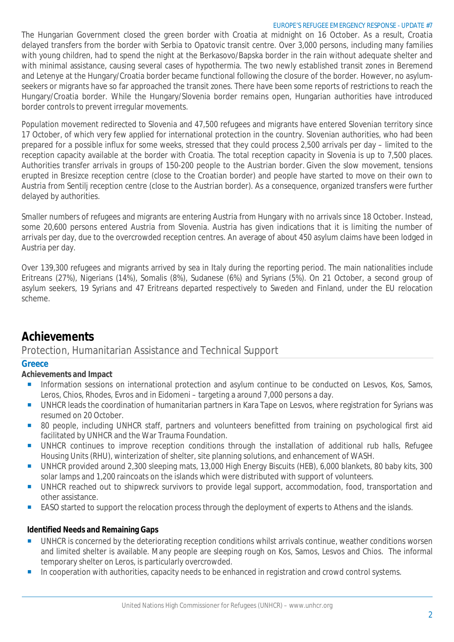#### EUROPE'S REFUGEE EMERGENCY RESPONSE - UPDATE #7

The Hungarian Government closed the green border with Croatia at midnight on 16 October. As a result, Croatia delayed transfers from the border with Serbia to Opatovic transit centre. Over 3,000 persons, including many families with young children, had to spend the night at the Berkasovo/Bapska border in the rain without adequate shelter and with minimal assistance, causing several cases of hypothermia. The two newly established transit zones in Beremend and Letenye at the Hungary/Croatia border became functional following the closure of the border. However, no asylumseekers or migrants have so far approached the transit zones. There have been some reports of restrictions to reach the Hungary/Croatia border. While the Hungary/Slovenia border remains open, Hungarian authorities have introduced border controls to prevent irregular movements.

Population movement redirected to Slovenia and 47,500 refugees and migrants have entered Slovenian territory since 17 October, of which very few applied for international protection in the country. Slovenian authorities, who had been prepared for a possible influx for some weeks, stressed that they could process 2,500 arrivals per day – limited to the reception capacity available at the border with Croatia. The total reception capacity in Slovenia is up to 7,500 places. Authorities transfer arrivals in groups of 150-200 people to the Austrian border. Given the slow movement, tensions erupted in Bresizce reception centre (close to the Croatian border) and people have started to move on their own to Austria from Sentilj reception centre (close to the Austrian border). As a consequence, organized transfers were further delayed by authorities.

Smaller numbers of refugees and migrants are entering Austria from Hungary with no arrivals since 18 October. Instead, some 20,600 persons entered Austria from Slovenia. Austria has given indications that it is limiting the number of arrivals per day, due to the overcrowded reception centres. An average of about 450 asylum claims have been lodged in Austria per day.

Over 139,300 refugees and migrants arrived by sea in Italy during the reporting period. The main nationalities include Eritreans (27%), Nigerians (14%), Somalis (8%), Sudanese (6%) and Syrians (5%). On 21 October, a second group of asylum seekers, 19 Syrians and 47 Eritreans departed respectively to Sweden and Finland, under the EU relocation scheme.

## **Achievements**

#### Protection, Humanitarian Assistance and Technical Support

#### **Greece**

#### **Achievements and Impact**

- **Information sessions on international protection and asylum continue to be conducted on Lesvos, Kos, Samos,** Leros, Chios, Rhodes, Evros and in Eidomeni – targeting a around 7,000 persons a day.
- UNHCR leads the coordination of humanitarian partners in Kara Tape on Lesvos, where registration for Syrians was resumed on 20 October.
- 80 people, including UNHCR staff, partners and volunteers benefitted from training on psychological first aid facilitated by UNHCR and the War Trauma Foundation.
- UNHCR continues to improve reception conditions through the installation of additional rub halls, Refugee Housing Units (RHU), winterization of shelter, site planning solutions, and enhancement of WASH.
- UNHCR provided around 2,300 sleeping mats, 13,000 High Energy Biscuits (HEB), 6,000 blankets, 80 baby kits, 300 solar lamps and 1,200 raincoats on the islands which were distributed with support of volunteers.
- UNHCR reached out to shipwreck survivors to provide legal support, accommodation, food, transportation and other assistance.
- EASO started to support the relocation process through the deployment of experts to Athens and the islands.

- UNHCR is concerned by the deteriorating reception conditions whilst arrivals continue, weather conditions worsen and limited shelter is available. Many people are sleeping rough on Kos, Samos, Lesvos and Chios. The informal temporary shelter on Leros, is particularly overcrowded.
- In cooperation with authorities, capacity needs to be enhanced in registration and crowd control systems.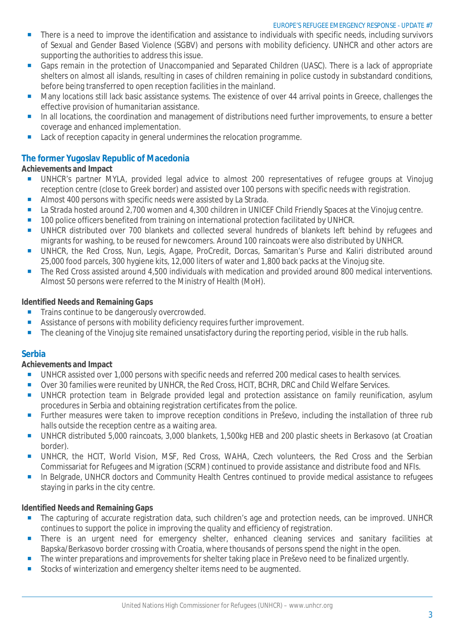- There is a need to improve the identification and assistance to individuals with specific needs, including survivors of Sexual and Gender Based Violence (SGBV) and persons with mobility deficiency. UNHCR and other actors are supporting the authorities to address this issue.
- Gaps remain in the protection of Unaccompanied and Separated Children (UASC). There is a lack of appropriate shelters on almost all islands, resulting in cases of children remaining in police custody in substandard conditions, before being transferred to open reception facilities in the mainland.
- Many locations still lack basic assistance systems. The existence of over 44 arrival points in Greece, challenges the effective provision of humanitarian assistance.
- In all locations, the coordination and management of distributions need further improvements, to ensure a better coverage and enhanced implementation.
- Lack of reception capacity in general undermines the relocation programme.

#### **The former Yugoslav Republic of Macedonia**

#### **Achievements and Impact**

- **UNHCR's partner MYLA, provided legal advice to almost 200 representatives of refugee groups at Vinojug** reception centre (close to Greek border) and assisted over 100 persons with specific needs with registration.
- Almost 400 persons with specific needs were assisted by La Strada.
- La Strada hosted around 2,700 women and 4,300 children in UNICEF Child Friendly Spaces at the Vinojug centre.
- **100 police officers benefited from training on international protection facilitated by UNHCR.**
- UNHCR distributed over 700 blankets and collected several hundreds of blankets left behind by refugees and migrants for washing, to be reused for newcomers. Around 100 raincoats were also distributed by UNHCR.
- UNHCR, the Red Cross, Nun, Legis, Agape, ProCredit, Dorcas, Samaritan's Purse and Kaliri distributed around 25,000 food parcels, 300 hygiene kits, 12,000 liters of water and 1,800 back packs at the Vinojug site.
- The Red Cross assisted around 4,500 individuals with medication and provided around 800 medical interventions. Almost 50 persons were referred to the Ministry of Health (MoH).

#### **Identified Needs and Remaining Gaps**

- **Trains continue to be dangerously overcrowded.**
- Assistance of persons with mobility deficiency requires further improvement.
- The cleaning of the Vinojug site remained unsatisfactory during the reporting period, visible in the rub halls.

#### **Serbia**

#### **Achievements and Impact**

- UNHCR assisted over 1,000 persons with specific needs and referred 200 medical cases to health services.
- Over 30 families were reunited by UNHCR, the Red Cross, HCIT, BCHR, DRC and Child Welfare Services.
- **UNHCR** protection team in Belgrade provided legal and protection assistance on family reunification, asylum procedures in Serbia and obtaining registration certificates from the police.
- **Further measures were taken to improve reception conditions in Preševo, including the installation of three rub** halls outside the reception centre as a waiting area.
- UNHCR distributed 5,000 raincoats, 3,000 blankets, 1,500kg HEB and 200 plastic sheets in Berkasovo (at Croatian border).
- **UNHCR, the HCIT, World Vision, MSF, Red Cross, WAHA, Czech volunteers, the Red Cross and the Serbian** Commissariat for Refugees and Migration (SCRM) continued to provide assistance and distribute food and NFIs.
- In Belgrade, UNHCR doctors and Community Health Centres continued to provide medical assistance to refugees staying in parks in the city centre.

- The capturing of accurate registration data, such children's age and protection needs, can be improved. UNHCR continues to support the police in improving the quality and efficiency of registration.
- **There is an urgent need for emergency shelter, enhanced cleaning services and sanitary facilities at any strategy** Bapska/Berkasovo border crossing with Croatia, where thousands of persons spend the night in the open.
- The winter preparations and improvements for shelter taking place in Preševo need to be finalized urgently.
- Stocks of winterization and emergency shelter items need to be augmented.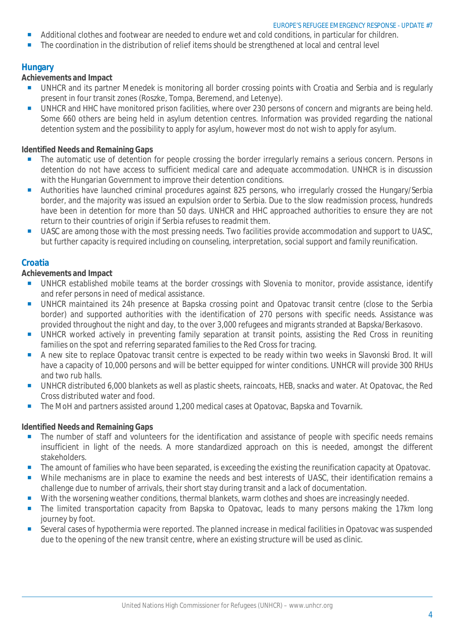#### EUROPE'S REFUGEE EMERGENCY RESPONSE - UPDATE #7

- Additional clothes and footwear are needed to endure wet and cold conditions, in particular for children.
- The coordination in the distribution of relief items should be strengthened at local and central level

#### **Hungary**

#### **Achievements and Impact**

- UNHCR and its partner Menedek is monitoring all border crossing points with Croatia and Serbia and is regularly present in four transit zones (Roszke, Tompa, Beremend, and Letenye).
- UNHCR and HHC have monitored prison facilities, where over 230 persons of concern and migrants are being held. Some 660 others are being held in asylum detention centres. Information was provided regarding the national detention system and the possibility to apply for asylum, however most do not wish to apply for asylum.

#### **Identified Needs and Remaining Gaps**

- The automatic use of detention for people crossing the border irregularly remains a serious concern. Persons in detention do not have access to sufficient medical care and adequate accommodation. UNHCR is in discussion with the Hungarian Government to improve their detention conditions.
- Authorities have launched criminal procedures against 825 persons, who irregularly crossed the Hungary/Serbia border, and the majority was issued an expulsion order to Serbia. Due to the slow readmission process, hundreds have been in detention for more than 50 days. UNHCR and HHC approached authorities to ensure they are not return to their countries of origin if Serbia refuses to readmit them.
- UASC are among those with the most pressing needs. Two facilities provide accommodation and support to UASC, but further capacity is required including on counseling, interpretation, social support and family reunification.

#### **Croatia**

#### **Achievements and Impact**

- UNHCR established mobile teams at the border crossings with Slovenia to monitor, provide assistance, identify and refer persons in need of medical assistance.
- UNHCR maintained its 24h presence at Bapska crossing point and Opatovac transit centre (close to the Serbia border) and supported authorities with the identification of 270 persons with specific needs. Assistance was provided throughout the night and day, to the over 3,000 refugees and migrants stranded at Bapska/Berkasovo.
- UNHCR worked actively in preventing family separation at transit points, assisting the Red Cross in reuniting families on the spot and referring separated families to the Red Cross for tracing.
- A new site to replace Opatovac transit centre is expected to be ready within two weeks in Slavonski Brod. It will have a capacity of 10,000 persons and will be better equipped for winter conditions. UNHCR will provide 300 RHUs and two rub halls.
- UNHCR distributed 6,000 blankets as well as plastic sheets, raincoats, HEB, snacks and water. At Opatovac, the Red Cross distributed water and food.
- The MoH and partners assisted around 1,200 medical cases at Opatovac, Bapska and Tovarnik.

- **The number of staff and volunteers for the identification and assistance of people with specific needs remains** insufficient in light of the needs. A more standardized approach on this is needed, amongst the different stakeholders.
- The amount of families who have been separated, is exceeding the existing the reunification capacity at Opatovac.
- While mechanisms are in place to examine the needs and best interests of UASC, their identification remains a challenge due to number of arrivals, their short stay during transit and a lack of documentation.
- With the worsening weather conditions, thermal blankets, warm clothes and shoes are increasingly needed.
- **The limited transportation capacity from Bapska to Opatovac, leads to many persons making the 17km long** journey by foot.
- Several cases of hypothermia were reported. The planned increase in medical facilities in Opatovac was suspended due to the opening of the new transit centre, where an existing structure will be used as clinic.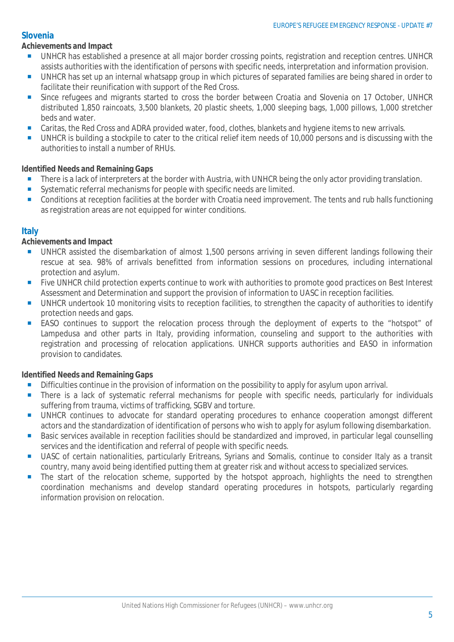#### **Slovenia**

#### **Achievements and Impact**

- UNHCR has established a presence at all major border crossing points, registration and reception centres. UNHCR assists authorities with the identification of persons with specific needs, interpretation and information provision.
- UNHCR has set up an internal whatsapp group in which pictures of separated families are being shared in order to facilitate their reunification with support of the Red Cross.
- Since refugees and migrants started to cross the border between Croatia and Slovenia on 17 October, UNHCR distributed 1,850 raincoats, 3,500 blankets, 20 plastic sheets, 1,000 sleeping bags, 1,000 pillows, 1,000 stretcher beds and water.
- Caritas, the Red Cross and ADRA provided water, food, clothes, blankets and hygiene items to new arrivals.
- UNHCR is building a stockpile to cater to the critical relief item needs of 10,000 persons and is discussing with the authorities to install a number of RHUs.

#### **Identified Needs and Remaining Gaps**

- There is a lack of interpreters at the border with Austria, with UNHCR being the only actor providing translation.
- Systematic referral mechanisms for people with specific needs are limited.
- Conditions at reception facilities at the border with Croatia need improvement. The tents and rub halls functioning as registration areas are not equipped for winter conditions.

#### **Italy**

#### **Achievements and Impact**

- UNHCR assisted the disembarkation of almost 1,500 persons arriving in seven different landings following their rescue at sea. 98% of arrivals benefitted from information sessions on procedures, including international protection and asylum.
- **Five UNHCR child protection experts continue to work with authorities to promote good practices on Best Interest** Assessment and Determination and support the provision of information to UASC in reception facilities.
- UNHCR undertook 10 monitoring visits to reception facilities, to strengthen the capacity of authorities to identify protection needs and gaps.
- **EASO** continues to support the relocation process through the deployment of experts to the "hotspot" of Lampedusa and other parts in Italy, providing information, counseling and support to the authorities with registration and processing of relocation applications. UNHCR supports authorities and EASO in information provision to candidates.

- Difficulties continue in the provision of information on the possibility to apply for asylum upon arrival.
- There is a lack of systematic referral mechanisms for people with specific needs, particularly for individuals suffering from trauma, victims of trafficking, SGBV and torture.
- **UNHCR** continues to advocate for standard operating procedures to enhance cooperation amongst different actors and the standardization of identification of persons who wish to apply for asylum following disembarkation.
- **Basic services available in reception facilities should be standardized and improved, in particular legal counselling** services and the identification and referral of people with specific needs.
- UASC of certain nationalities, particularly Eritreans, Syrians and Somalis, continue to consider Italy as a transit country, many avoid being identified putting them at greater risk and without access to specialized services.
- The start of the relocation scheme, supported by the hotspot approach, highlights the need to strengthen coordination mechanisms and develop standard operating procedures in hotspots, particularly regarding information provision on relocation.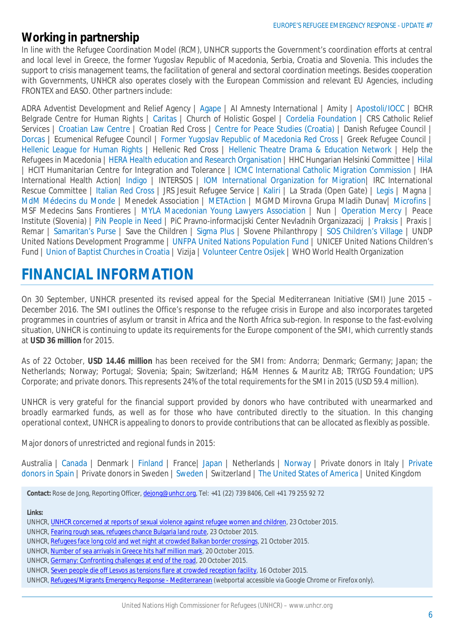### **Working in partnership**

In line with the Refugee Coordination Model (RCM), UNHCR supports the Government's coordination efforts at central and local level in Greece, the former Yugoslav Republic of Macedonia, Serbia, Croatia and Slovenia. This includes the support to crisis management teams, the facilitation of general and sectoral coordination meetings. Besides cooperation with Governments, UNHCR also operates closely with the European Commission and relevant EU Agencies, including FRONTEX and EASO. Other partners include:

ADRA Adventist Development and Relief Agency | Agape | AI Amnesty International | Amity | Apostoli/IOCC | BCHR Belgrade Centre for Human Rights | Caritas | Church of Holistic Gospel | Cordelia Foundation | CRS Catholic Relief Services | Croatian Law Centre | Croatian Red Cross | Centre for Peace Studies (Croatia) | Danish Refugee Council | Dorcas | Ecumenical Refugee Council | Former Yugoslav Republic of Macedonia Red Cross | Greek Refugee Council | Hellenic League for Human Rights | Hellenic Red Cross | Hellenic Theatre Drama & Education Network | Help the Refugees in Macedonia | HERA Health education and Research Organisation | HHC Hungarian Helsinki Committee | Hilal | HCIT Humanitarian Centre for Integration and Tolerance | ICMC International Catholic Migration Commission | IHA International Health Action| Indigo | INTERSOS | IOM International Organization for Migration| IRC International Rescue Committee | Italian Red Cross | JRS Jesuit Refugee Service | Kaliri | La Strada (Open Gate) | Legis | Magna MdM Médecins du Monde | Menedek Association | METAction | MGMD Mirovna Grupa Mladih Dunav| Microfins | MSF Medecins Sans Frontieres | MYLA Macedonian Young Lawyers Association | Nun | Operation Mercy | Peace Institute (Slovenia) | PiN People in Need | PiC Pravno-informacijski Center Nevladnih Organizazacij | Praksis | Praxis | Remar | Samaritan's Purse | Save the Children | Sigma Plus | Slovene Philanthropy | SOS Children's Village | UNDP United Nations Development Programme | UNFPA United Nations Population Fund | UNICEF United Nations Children's Fund | Union of Baptist Churches in Croatia | Vizija | Volunteer Centre Osijek | WHO World Health Organization

# **FINANCIAL INFORMATION**

On 30 September, UNHCR presented its revised appeal for the Special Mediterranean Initiative (SMI) June 2015 – December 2016. The SMI outlines the Office's response to the refugee crisis in Europe and also incorporates targeted programmes in countries of asylum or transit in Africa and the North Africa sub-region. In response to the fast-evolving situation, UNHCR is continuing to update its requirements for the Europe component of the SMI, which currently stands at **USD 36 million** for 2015.

As of 22 October, **USD 14.46 million** has been received for the SMI from: Andorra; Denmark; Germany; Japan; the Netherlands; Norway; Portugal; Slovenia; Spain; Switzerland; H&M Hennes & Mauritz AB; TRYGG Foundation; UPS Corporate; and private donors. This represents 24% of the total requirements for the SMI in 2015 (USD 59.4 million).

UNHCR is very grateful for the financial support provided by donors who have contributed with unearmarked and broadly earmarked funds, as well as for those who have contributed directly to the situation. In this changing operational context, UNHCR is appealing to donors to provide contributions that can be allocated as flexibly as possible.

Major donors of unrestricted and regional funds in 2015:

Australia | Canada | Denmark | Finland | France | Japan | Netherlands | Norway | Private donors in Italy | Private donors in Spain | Private donors in Sweden | Sweden | Switzerland | The United States of America | United Kingdom

**Contact:** Rose de Jong, Reporting Officer, dejong@unhcr.org, Tel: +41 (22) 739 8406, Cell +41 79 255 92 72

**Links:**

- UNHCR, UNHCR concerned at reports of sexual violence against refugee women and children, 23 October 2015.
- UNHCR, Fearing rough seas, refugees chance Bulgaria land route, 23 October 2015.
- UNHCR, Refugees face long cold and wet night at crowded Balkan border crossings, 21 October 2015.
- UNHCR, Number of sea arrivals in Greece hits half million mark, 20 October 2015.
- UNHCR, Germany: Confronting challenges at end of the road, 20 October 2015.
- UNHCR, Seven people die off Lesvos as tensions flare at crowded reception facility, 16 October 2015.
- UNHCR, Refugees/Migrants Emergency Response Mediterranean (webportal accessible via Google Chrome or Firefox only).